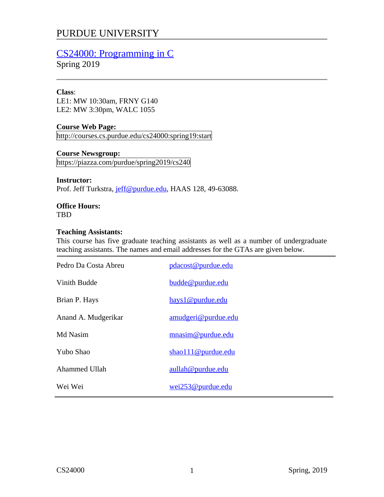# PURDUE UNIVERSITY

# CS24000: Programming in C

Spring 2019

#### **Class**:

LE1: MW 10:30am, FRNY G140 LE2: MW 3:30pm, WALC 1055

## **Course Web Page:**

http://courses.cs.purdue.edu/cs24000:spring19:start

## **Course Newsgroup:**

https://piazza.com/purdue/spring2019/cs240

#### **Instructor:**

Prof. Jeff Turkstra, jeff@purdue.edu, HAAS 128, 49-63088.

# **Office Hours:**

TBD

#### **Teaching Assistants:**

This course has five graduate teaching assistants as well as a number of undergraduate teaching assistants. The names and email addresses for the GTAs are given below.

| Pedro Da Costa Abreu | pdacost@purdue.edu  |
|----------------------|---------------------|
| Vinith Budde         | budde@purdue.edu    |
| Brian P. Hays        | hays1@purdue.edu    |
| Anand A. Mudgerikar  | amudgeri@purdue.edu |
| Md Nasim             | mnasim@purdue.edu   |
| Yubo Shao            | shao111@purdue.edu  |
| Ahammed Ullah        | aullah@purdue.edu   |
| Wei Wei              | wei253@purdue.edu   |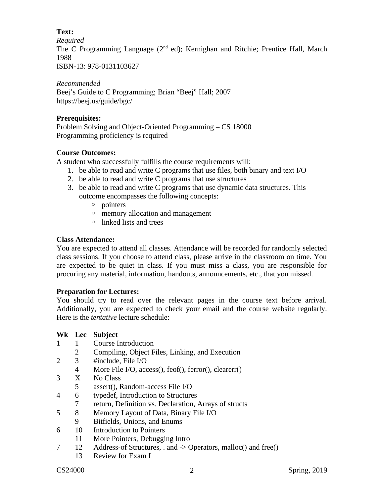## **Text:**

*Required*

The C Programming Language  $(2^{nd}$  ed); Kernighan and Ritchie; Prentice Hall, March 1988

ISBN-13: 978-0131103627

# *Recommended*

Beej's Guide to C Programming; Brian "Beej" Hall; 2007 https://beej.us/guide/bgc/

# **Prerequisites:**

Problem Solving and Object-Oriented Programming – CS 18000 Programming proficiency is required

# **Course Outcomes:**

A student who successfully fulfills the course requirements will:

- 1. be able to read and write C programs that use files, both binary and text I/O
- 2. be able to read and write C programs that use structures
- 3. be able to read and write C programs that use dynamic data structures. This outcome encompasses the following concepts:
	- pointers
	- memory allocation and management
	- linked lists and trees

# **Class Attendance:**

You are expected to attend all classes. Attendance will be recorded for randomly selected class sessions. If you choose to attend class, please arrive in the classroom on time. You are expected to be quiet in class. If you must miss a class, you are responsible for procuring any material, information, handouts, announcements, etc., that you missed.

# **Preparation for Lectures:**

You should try to read over the relevant pages in the course text before arrival. Additionally, you are expected to check your email and the course website regularly. Here is the *tentative* lecture schedule:

# **Wk Lec Subject**

- 1 1 Course Introduction
	- 2 Compiling, Object Files, Linking, and Execution
- 2 3 #include, File I/O
	- 4 More File I/O, access(), feof(), ferror(), clearerr()
- 3 X No Class
	- 5 assert(), Random-access File I/O
- 4 6 typedef, Introduction to Structures
- 7 return, Definition vs. Declaration, Arrays of structs
- 5 8 Memory Layout of Data, Binary File I/O
- 9 Bitfields, Unions, and Enums
- 6 10 Introduction to Pointers
	- 11 More Pointers, Debugging Intro
- 7 12 Address-of Structures, . and -> Operators, malloc() and free()
	- 13 Review for Exam I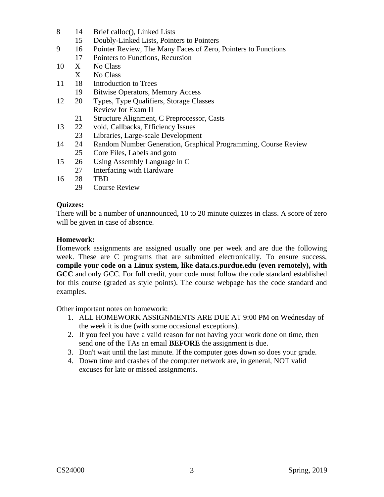- 8 14 Brief calloc(), Linked Lists
	- 15 Doubly-Linked Lists, Pointers to Pointers
- 9 16 Pointer Review, The Many Faces of Zero, Pointers to Functions
- 17 Pointers to Functions, Recursion
- 10 X No Class
	- X No Class
- 11 18 Introduction to Trees
	- 19 Bitwise Operators, Memory Access
- 12 20 Types, Type Qualifiers, Storage Classes Review for Exam II
	- 21 Structure Alignment, C Preprocessor, Casts
- 13 22 void, Callbacks, Efficiency Issues
	- 23 Libraries, Large-scale Development
- 14 24 Random Number Generation, Graphical Programming, Course Review 25 Core Files, Labels and goto
- 15 26 Using Assembly Language in C
- 27 Interfacing with Hardware
- 16 28 TBD
	- 29 Course Review

## **Quizzes:**

There will be a number of unannounced, 10 to 20 minute quizzes in class. A score of zero will be given in case of absence.

## **Homework:**

Homework assignments are assigned usually one per week and are due the following week. These are C programs that are submitted electronically. To ensure success, **compile your code on a Linux system, like data.cs.purdue.edu (even remotely), with GCC** and only GCC. For full credit, your code must follow the code standard established for this course (graded as style points). The course webpage has the code standard and examples.

Other important notes on homework:

- 1. ALL HOMEWORK ASSIGNMENTS ARE DUE AT 9:00 PM on Wednesday of the week it is due (with some occasional exceptions).
- 2. If you feel you have a valid reason for not having your work done on time, then send one of the TAs an email **BEFORE** the assignment is due.
- 3. Don't wait until the last minute. If the computer goes down so does your grade.
- 4. Down time and crashes of the computer network are, in general, NOT valid excuses for late or missed assignments.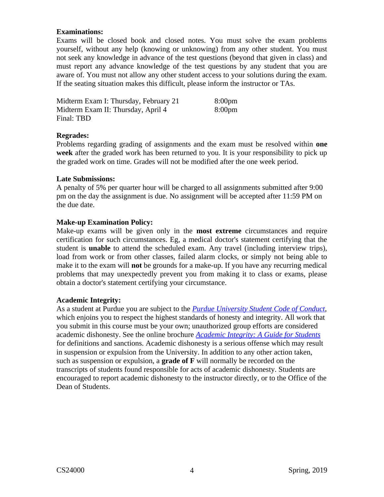#### **Examinations:**

Exams will be closed book and closed notes. You must solve the exam problems yourself, without any help (knowing or unknowing) from any other student. You must not seek any knowledge in advance of the test questions (beyond that given in class) and must report any advance knowledge of the test questions by any student that you are aware of. You must not allow any other student access to your solutions during the exam. If the seating situation makes this difficult, please inform the instructor or TAs.

| Midterm Exam I: Thursday, February 21 | 8:00 <sub>pm</sub> |
|---------------------------------------|--------------------|
| Midterm Exam II: Thursday, April 4    | 8:00 <sub>pm</sub> |
| Final: TBD                            |                    |

#### **Regrades:**

Problems regarding grading of assignments and the exam must be resolved within **one week** after the graded work has been returned to you. It is your responsibility to pick up the graded work on time. Grades will not be modified after the one week period.

#### **Late Submissions:**

A penalty of 5% per quarter hour will be charged to all assignments submitted after 9:00 pm on the day the assignment is due. No assignment will be accepted after 11:59 PM on the due date.

#### **Make-up Examination Policy:**

Make-up exams will be given only in the **most extreme** circumstances and require certification for such circumstances. Eg, a medical doctor's statement certifying that the student is **unable** to attend the scheduled exam. Any travel (including interview trips), load from work or from other classes, failed alarm clocks, or simply not being able to make it to the exam will **not** be grounds for a make-up. If you have any recurring medical problems that may unexpectedly prevent you from making it to class or exams, please obtain a doctor's statement certifying your circumstance.

#### **Academic Integrity:**

As a student at Purdue you are subject to the *Purdue University Student Code of Conduct*, which enjoins you to respect the highest standards of honesty and integrity. All work that you submit in this course must be your own; unauthorized group efforts are considered academic dishonesty. See the online brochure *Academic Integrity: A Guide for Students* for definitions and sanctions. Academic dishonesty is a serious offense which may result in suspension or expulsion from the University. In addition to any other action taken, such as suspension or expulsion, a **grade of F** will normally be recorded on the transcripts of students found responsible for acts of academic dishonesty. Students are encouraged to report academic dishonesty to the instructor directly, or to the Office of the Dean of Students.